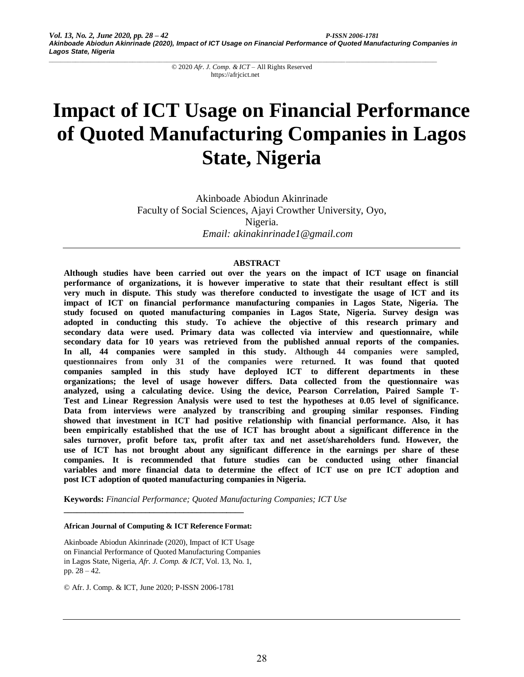# **Impact of ICT Usage on Financial Performance of Quoted Manufacturing Companies in Lagos State, Nigeria**

Akinboade Abiodun Akinrinade Faculty of Social Sciences, Ajayi Crowther University, Oyo, Nigeria. *Email: akinakinrinade1@gmail.com*

## **ABSTRACT**

**Although studies have been carried out over the years on the impact of ICT usage on financial performance of organizations, it is however imperative to state that their resultant effect is still very much in dispute. This study was therefore conducted to investigate the usage of ICT and its impact of ICT on financial performance manufacturing companies in Lagos State, Nigeria. The study focused on quoted manufacturing companies in Lagos State, Nigeria. Survey design was adopted in conducting this study. To achieve the objective of this research primary and secondary data were used. Primary data was collected via interview and questionnaire, while secondary data for 10 years was retrieved from the published annual reports of the companies. In all, 44 companies were sampled in this study. Although 44 companies were sampled, questionnaires from only 31 of the companies were returned. It was found that quoted companies sampled in this study have deployed ICT to different departments in these organizations; the level of usage however differs. Data collected from the questionnaire was analyzed, using a calculating device. Using the device, Pearson Correlation, Paired Sample T-Test and Linear Regression Analysis were used to test the hypotheses at 0.05 level of significance. Data from interviews were analyzed by transcribing and grouping similar responses. Finding showed that investment in ICT had positive relationship with financial performance. Also, it has been empirically established that the use of ICT has brought about a significant difference in the sales turnover, profit before tax, profit after tax and net asset/shareholders fund. However, the use of ICT has not brought about any significant difference in the earnings per share of these companies. It is recommended that future studies can be conducted using other financial variables and more financial data to determine the effect of ICT use on pre ICT adoption and post ICT adoption of quoted manufacturing companies in Nigeria.** 

**Keywords:** *Financial Performance; Quoted Manufacturing Companies; ICT Use*

**African Journal of Computing & ICT Reference Format:**

**\_\_\_\_\_\_\_\_\_\_\_\_\_\_\_\_\_\_\_\_\_\_\_\_\_\_\_\_\_\_\_\_\_\_\_\_\_\_\_\_\_\_**

Akinboade Abiodun Akinrinade (2020), Impact of ICT Usage on Financial Performance of Quoted Manufacturing Companies in Lagos State, Nigeria, *Afr. J. Comp. & ICT*, Vol. 13, No. 1, pp. 28 – 42.

© Afr. J. Comp. & ICT, June 2020; P-ISSN 2006-1781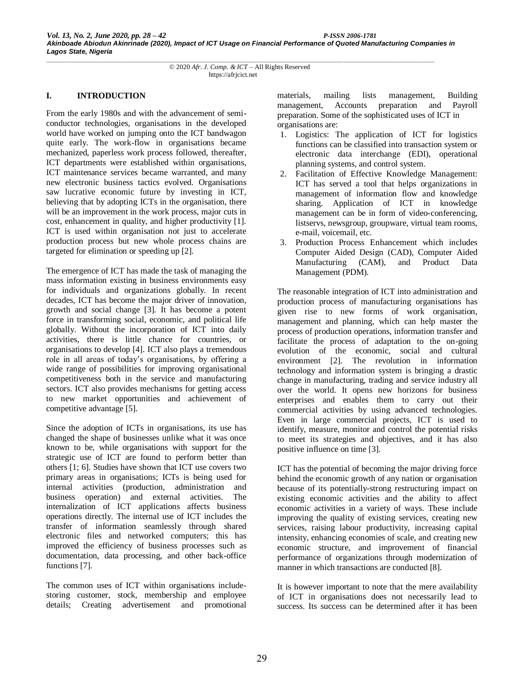#### **I. INTRODUCTION**

From the early 1980s and with the advancement of semiconductor technologies, organisations in the developed world have worked on jumping onto the ICT bandwagon quite early. The work-flow in organisations became mechanized, paperless work process followed, thereafter, ICT departments were established within organisations, ICT maintenance services became warranted, and many new electronic business tactics evolved. Organisations saw lucrative economic future by investing in ICT, believing that by adopting ICTs in the organisation, there will be an improvement in the work process, major cuts in cost, enhancement in quality, and higher productivity [1]. ICT is used within organisation not just to accelerate production process but new whole process chains are targeted for elimination or speeding up [2].

The emergence of ICT has made the task of managing the mass information existing in business environments easy for individuals and organizations globally. In recent decades, ICT has become the major driver of innovation, growth and social change [3]. It has become a potent force in transforming social, economic, and political life globally. Without the incorporation of ICT into daily activities, there is little chance for countries, or organisations to develop [4]. ICT also plays a tremendous role in all areas of today's organisations, by offering a wide range of possibilities for improving organisational competitiveness both in the service and manufacturing sectors. ICT also provides mechanisms for getting access to new market opportunities and achievement of competitive advantage [5].

Since the adoption of ICTs in organisations, its use has changed the shape of businesses unlike what it was once known to be, while organisations with support for the strategic use of ICT are found to perform better than others [1; 6]. Studies have shown that ICT use covers two primary areas in organisations; ICTs is being used for internal activities (production, administration and business operation) and external activities. The internalization of ICT applications affects business operations directly. The internal use of ICT includes the transfer of information seamlessly through shared electronic files and networked computers; this has improved the efficiency of business processes such as documentation, data processing, and other back-office functions [7].

The common uses of ICT within organisations includestoring customer, stock, membership and employee details; Creating advertisement and promotional materials, mailing lists management, Building management, Accounts preparation and Payroll preparation. Some of the sophisticated uses of ICT in organisations are:

- 1. Logistics: The application of ICT for logistics functions can be classified into transaction system or electronic data interchange (EDI), operational planning systems, and control system.
- 2. Facilitation of Effective Knowledge Management: ICT has served a tool that helps organizations in management of information flow and knowledge sharing. Application of ICT in knowledge management can be in form of video-conferencing, listservs, newsgroup, groupware, virtual team rooms, e-mail, voicemail, etc.
- 3. Production Process Enhancement which includes Computer Aided Design (CAD), Computer Aided Manufacturing (CAM), and Product Data Management (PDM).

The reasonable integration of ICT into administration and production process of manufacturing organisations has given rise to new forms of work organisation, management and planning, which can help master the process of production operations, information transfer and facilitate the process of adaptation to the on-going evolution of the economic, social and cultural environment [2]. The revolution in information technology and information system is bringing a drastic change in manufacturing, trading and service industry all over the world. It opens new horizons for business enterprises and enables them to carry out their commercial activities by using advanced technologies. Even in large commercial projects, ICT is used to identify, measure, monitor and control the potential risks to meet its strategies and objectives, and it has also positive influence on time [3].

ICT has the potential of becoming the major driving force behind the economic growth of any nation or organisation because of its potentially-strong restructuring impact on existing economic activities and the ability to affect economic activities in a variety of ways. These include improving the quality of existing services, creating new services, raising labour productivity, increasing capital intensity, enhancing economies of scale, and creating new economic structure, and improvement of financial performance of organizations through modernization of manner in which transactions are conducted [8].

It is however important to note that the mere availability of ICT in organisations does not necessarily lead to success. Its success can be determined after it has been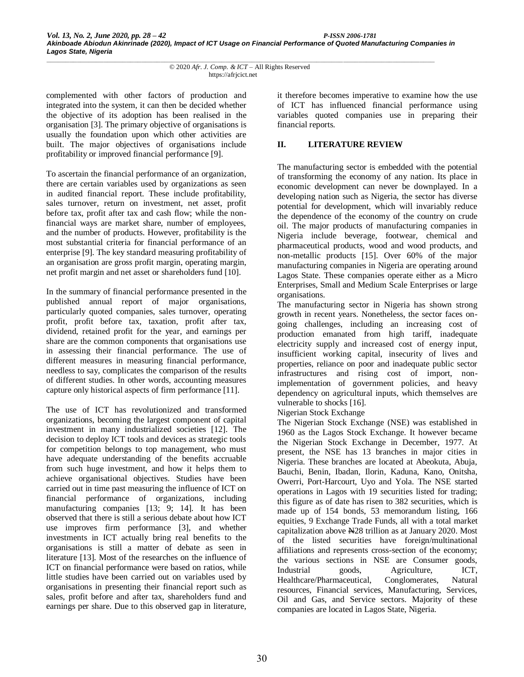complemented with other factors of production and integrated into the system, it can then be decided whether the objective of its adoption has been realised in the organisation [3]. The primary objective of organisations is usually the foundation upon which other activities are built. The major objectives of organisations include profitability or improved financial performance [9].

To ascertain the financial performance of an organization, there are certain variables used by organizations as seen in audited financial report. These include profitability, sales turnover, return on investment, net asset, profit before tax, profit after tax and cash flow; while the nonfinancial ways are market share, number of employees, and the number of products. However, profitability is the most substantial criteria for financial performance of an enterprise [9]. The key standard measuring profitability of an organisation are gross profit margin, operating margin, net profit margin and net asset or shareholders fund [10].

In the summary of financial performance presented in the published annual report of major organisations, particularly quoted companies, sales turnover, operating profit, profit before tax, taxation, profit after tax, dividend, retained profit for the year, and earnings per share are the common components that organisations use in assessing their financial performance. The use of different measures in measuring financial performance, needless to say, complicates the comparison of the results of different studies. In other words, accounting measures capture only historical aspects of firm performance [11].

The use of ICT has revolutionized and transformed organizations, becoming the largest component of capital investment in many industrialized societies [12]. The decision to deploy ICT tools and devices as strategic tools for competition belongs to top management, who must have adequate understanding of the benefits accruable from such huge investment, and how it helps them to achieve organisational objectives. Studies have been carried out in time past measuring the influence of ICT on financial performance of organizations, including manufacturing companies [13; 9; 14]. It has been observed that there is still a serious debate about how ICT use improves firm performance [3], and whether investments in ICT actually bring real benefits to the organisations is still a matter of debate as seen in literature [13]. Most of the researches on the influence of ICT on financial performance were based on ratios, while little studies have been carried out on variables used by organisations in presenting their financial report such as sales, profit before and after tax, shareholders fund and earnings per share. Due to this observed gap in literature,

it therefore becomes imperative to examine how the use of ICT has influenced financial performance using variables quoted companies use in preparing their financial reports.

# **II. LITERATURE REVIEW**

The manufacturing sector is embedded with the potential of transforming the economy of any nation. Its place in economic development can never be downplayed. In a developing nation such as Nigeria, the sector has diverse potential for development, which will invariably reduce the dependence of the economy of the country on crude oil. The major products of manufacturing companies in Nigeria include beverage, footwear, chemical and pharmaceutical products, wood and wood products, and non-metallic products [15]. Over 60% of the major manufacturing companies in Nigeria are operating around Lagos State. These companies operate either as a Micro Enterprises, Small and Medium Scale Enterprises or large organisations.

The manufacturing sector in Nigeria has shown strong growth in recent years. Nonetheless, the sector faces ongoing challenges, including an increasing cost of production emanated from high tariff, inadequate electricity supply and increased cost of energy input, insufficient working capital, insecurity of lives and properties, reliance on poor and inadequate public sector infrastructures and rising cost of import, nonimplementation of government policies, and heavy dependency on agricultural inputs, which themselves are vulnerable to shocks [16].

Nigerian Stock Exchange

The Nigerian Stock Exchange (NSE) was established in 1960 as the Lagos Stock Exchange. It however became the Nigerian Stock Exchange in December, 1977. At present, the NSE has 13 branches in major cities in Nigeria. These branches are located at Abeokuta, Abuja, Bauchi, Benin, Ibadan, Ilorin, Kaduna, Kano, Onitsha, Owerri, Port-Harcourt, Uyo and Yola. The NSE started operations in Lagos with 19 securities listed for trading; this figure as of date has risen to 382 securities, which is made up of 154 bonds, 53 memorandum listing, 166 equities, 9 Exchange Trade Funds, all with a total market capitalization above N28 trillion as at January 2020. Most of the listed securities have foreign/multinational affiliations and represents cross-section of the economy; the various sections in NSE are Consumer goods, Industrial goods, Agriculture, ICT, Healthcare/Pharmaceutical, Conglomerates, Natural resources, Financial services, Manufacturing, Services, Oil and Gas, and Service sectors. Majority of these companies are located in Lagos State, Nigeria.

*\_\_\_\_\_\_\_\_\_\_\_\_\_\_\_\_\_\_\_\_\_\_\_\_\_\_\_\_\_\_\_\_\_\_\_\_\_\_\_\_\_\_\_\_\_\_\_\_\_\_\_\_\_\_\_\_\_\_\_\_\_\_\_\_\_\_\_\_\_\_\_\_\_\_\_\_\_\_\_\_\_\_\_\_\_\_\_\_\_\_\_\_\_\_\_\_\_\_\_\_\_\_* © 2020 *Afr. J. Comp. & ICT* – All Rights Reserved https://afrjcict.net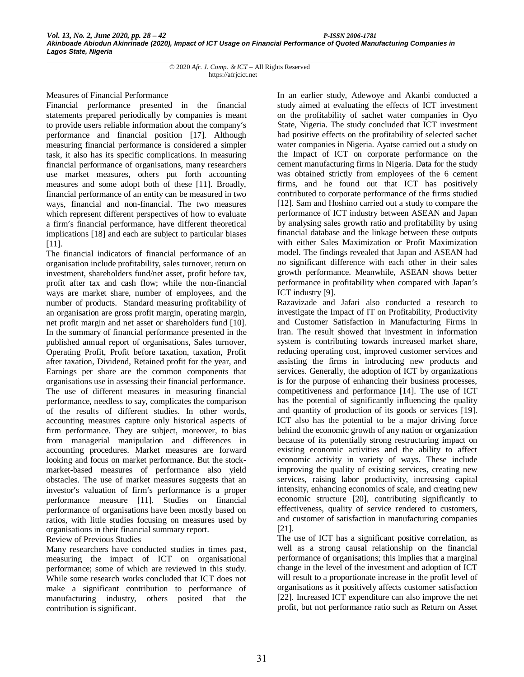Measures of Financial Performance

Financial performance presented in the financial statements prepared periodically by companies is meant to provide users reliable information about the company's performance and financial position [17]. Although measuring financial performance is considered a simpler task, it also has its specific complications. In measuring financial performance of organisations, many researchers use market measures, others put forth accounting measures and some adopt both of these [11]. Broadly, financial performance of an entity can be measured in two ways, financial and non-financial. The two measures which represent different perspectives of how to evaluate a firm's financial performance, have different theoretical implications [18] and each are subject to particular biases [11].

The financial indicators of financial performance of an organisation include profitability, sales turnover, return on investment, shareholders fund/net asset, profit before tax, profit after tax and cash flow; while the non-financial ways are market share, number of employees, and the number of products. Standard measuring profitability of an organisation are gross profit margin, operating margin, net profit margin and net asset or shareholders fund [10]. In the summary of financial performance presented in the published annual report of organisations, Sales turnover, Operating Profit, Profit before taxation, taxation, Profit after taxation, Dividend, Retained profit for the year, and Earnings per share are the common components that organisations use in assessing their financial performance. The use of different measures in measuring financial performance, needless to say, complicates the comparison of the results of different studies. In other words, accounting measures capture only historical aspects of firm performance. They are subject, moreover, to bias from managerial manipulation and differences in accounting procedures. Market measures are forward looking and focus on market performance. But the stockmarket-based measures of performance also yield obstacles. The use of market measures suggests that an investor's valuation of firm's performance is a proper performance measure [11]. Studies on financial performance of organisations have been mostly based on ratios, with little studies focusing on measures used by organisations in their financial summary report.

Review of Previous Studies

Many researchers have conducted studies in times past, measuring the impact of ICT on organisational performance; some of which are reviewed in this study. While some research works concluded that ICT does not make a significant contribution to performance of manufacturing industry, others posited that the contribution is significant.

In an earlier study, Adewoye and Akanbi conducted a study aimed at evaluating the effects of ICT investment on the profitability of sachet water companies in Oyo State, Nigeria. The study concluded that ICT investment had positive effects on the profitability of selected sachet water companies in Nigeria. Ayatse carried out a study on the Impact of ICT on corporate performance on the cement manufacturing firms in Nigeria. Data for the study was obtained strictly from employees of the 6 cement firms, and he found out that ICT has positively contributed to corporate performance of the firms studied [12]. Sam and Hoshino carried out a study to compare the performance of ICT industry between ASEAN and Japan by analysing sales growth ratio and profitability by using financial database and the linkage between these outputs with either Sales Maximization or Profit Maximization model. The findings revealed that Japan and ASEAN had no significant difference with each other in their sales growth performance. Meanwhile, ASEAN shows better performance in profitability when compared with Japan's ICT industry [9].

Razavizade and Jafari also conducted a research to investigate the Impact of IT on Profitability, Productivity and Customer Satisfaction in Manufacturing Firms in Iran. The result showed that investment in information system is contributing towards increased market share, reducing operating cost, improved customer services and assisting the firms in introducing new products and services. Generally, the adoption of ICT by organizations is for the purpose of enhancing their business processes, competitiveness and performance [14]. The use of ICT has the potential of significantly influencing the quality and quantity of production of its goods or services [19]. ICT also has the potential to be a major driving force behind the economic growth of any nation or organization because of its potentially strong restructuring impact on existing economic activities and the ability to affect economic activity in variety of ways. These include improving the quality of existing services, creating new services, raising labor productivity, increasing capital intensity, enhancing economics of scale, and creating new economic structure [20], contributing significantly to effectiveness, quality of service rendered to customers, and customer of satisfaction in manufacturing companies [21].

The use of ICT has a significant positive correlation, as well as a strong causal relationship on the financial performance of organisations; this implies that a marginal change in the level of the investment and adoption of ICT will result to a proportionate increase in the profit level of organisations as it positively affects customer satisfaction [22]. Increased ICT expenditure can also improve the net profit, but not performance ratio such as Return on Asset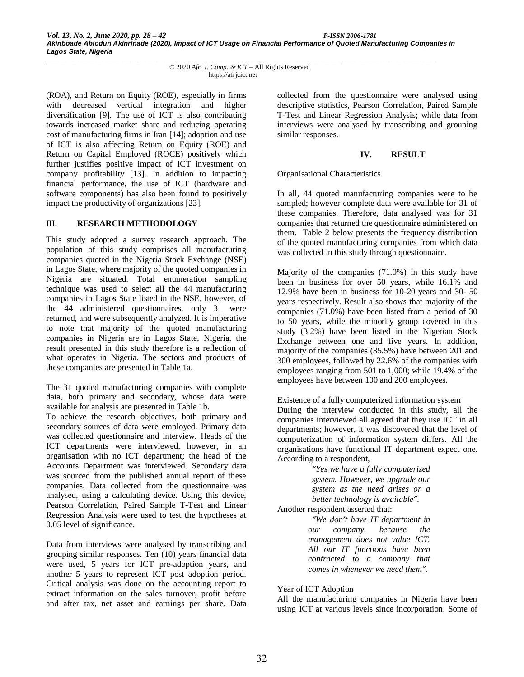(ROA), and Return on Equity (ROE), especially in firms with decreased vertical integration and higher diversification [9]. The use of ICT is also contributing towards increased market share and reducing operating cost of manufacturing firms in Iran [14]; adoption and use of ICT is also affecting Return on Equity (ROE) and Return on Capital Employed (ROCE) positively which further justifies positive impact of ICT investment on company profitability [13]. In addition to impacting financial performance, the use of ICT (hardware and software components) has also been found to positively impact the productivity of organizations [23].

## III. **RESEARCH METHODOLOGY**

This study adopted a survey research approach. The population of this study comprises all manufacturing companies quoted in the Nigeria Stock Exchange (NSE) in Lagos State, where majority of the quoted companies in Nigeria are situated. Total enumeration sampling technique was used to select all the 44 manufacturing companies in Lagos State listed in the NSE, however, of the 44 administered questionnaires, only 31 were returned, and were subsequently analyzed. It is imperative to note that majority of the quoted manufacturing companies in Nigeria are in Lagos State, Nigeria, the result presented in this study therefore is a reflection of what operates in Nigeria. The sectors and products of these companies are presented in Table 1a.

The 31 quoted manufacturing companies with complete data, both primary and secondary, whose data were available for analysis are presented in Table 1b.

To achieve the research objectives, both primary and secondary sources of data were employed. Primary data was collected questionnaire and interview. Heads of the ICT departments were interviewed, however, in an organisation with no ICT department; the head of the Accounts Department was interviewed. Secondary data was sourced from the published annual report of these companies. Data collected from the questionnaire was analysed, using a calculating device. Using this device, Pearson Correlation, Paired Sample T-Test and Linear Regression Analysis were used to test the hypotheses at 0.05 level of significance.

Data from interviews were analysed by transcribing and grouping similar responses. Ten (10) years financial data were used, 5 years for ICT pre-adoption years, and another 5 years to represent ICT post adoption period. Critical analysis was done on the accounting report to extract information on the sales turnover, profit before and after tax, net asset and earnings per share. Data collected from the questionnaire were analysed using descriptive statistics, Pearson Correlation, Paired Sample T-Test and Linear Regression Analysis; while data from interviews were analysed by transcribing and grouping similar responses.

## **IV. RESULT**

# Organisational Characteristics

In all, 44 quoted manufacturing companies were to be sampled; however complete data were available for 31 of these companies. Therefore, data analysed was for 31 companies that returned the questionnaire administered on them. Table 2 below presents the frequency distribution of the quoted manufacturing companies from which data was collected in this study through questionnaire.

Majority of the companies (71.0%) in this study have been in business for over 50 years, while 16.1% and 12.9% have been in business for 10-20 years and 30- 50 years respectively. Result also shows that majority of the companies (71.0%) have been listed from a period of 30 to 50 years, while the minority group covered in this study (3.2%) have been listed in the Nigerian Stock Exchange between one and five years. In addition, majority of the companies (35.5%) have between 201 and 300 employees, followed by 22.6% of the companies with employees ranging from 501 to 1,000; while 19.4% of the employees have between 100 and 200 employees.

Existence of a fully computerized information system During the interview conducted in this study, all the companies interviewed all agreed that they use ICT in all departments; however, it was discovered that the level of computerization of information system differs. All the organisations have functional IT department expect one. According to a respondent,

> *"Yes we have a fully computerized system. However, we upgrade our system as the need arises or a better technology is available".*

Another respondent asserted that:

*"We don't have IT department in our company, because the management does not value ICT. All our IT functions have been contracted to a company that comes in whenever we need them".*

## Year of ICT Adoption

All the manufacturing companies in Nigeria have been using ICT at various levels since incorporation. Some of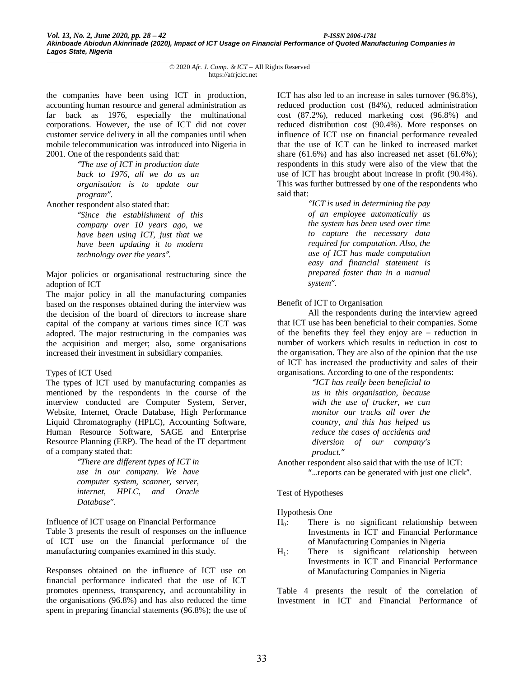the companies have been using ICT in production, accounting human resource and general administration as far back as 1976, especially the multinational corporations. However, the use of ICT did not cover customer service delivery in all the companies until when mobile telecommunication was introduced into Nigeria in 2001. One of the respondents said that:

> *"The use of ICT in production date back to 1976, all we do as an organisation is to update our program".*

Another respondent also stated that:

*"Since the establishment of this company over 10 years ago, we have been using ICT, just that we have been updating it to modern technology over the years".*

Major policies or organisational restructuring since the adoption of ICT

The major policy in all the manufacturing companies based on the responses obtained during the interview was the decision of the board of directors to increase share capital of the company at various times since ICT was adopted. The major restructuring in the companies was the acquisition and merger; also, some organisations increased their investment in subsidiary companies.

## Types of ICT Used

The types of ICT used by manufacturing companies as mentioned by the respondents in the course of the interview conducted are Computer System, Server, Website, Internet, Oracle Database, High Performance Liquid Chromatography (HPLC), Accounting Software, Human Resource Software, SAGE and Enterprise Resource Planning (ERP). The head of the IT department of a company stated that:

*"There are different types of ICT in use in our company. We have computer system, scanner, server, internet, HPLC, and Oracle Database".*

Influence of ICT usage on Financial Performance

Table 3 presents the result of responses on the influence of ICT use on the financial performance of the manufacturing companies examined in this study.

Responses obtained on the influence of ICT use on financial performance indicated that the use of ICT promotes openness, transparency, and accountability in the organisations (96.8%) and has also reduced the time spent in preparing financial statements (96.8%); the use of ICT has also led to an increase in sales turnover (96.8%), reduced production cost (84%), reduced administration cost (87.2%), reduced marketing cost (96.8%) and reduced distribution cost (90.4%). More responses on influence of ICT use on financial performance revealed that the use of ICT can be linked to increased market share (61.6%) and has also increased net asset (61.6%); respondents in this study were also of the view that the use of ICT has brought about increase in profit (90.4%). This was further buttressed by one of the respondents who said that:

> *"ICT is used in determining the pay of an employee automatically as the system has been used over time to capture the necessary data required for computation. Also, the use of ICT has made computation easy and financial statement is prepared faster than in a manual system".*

## Benefit of ICT to Organisation

All the respondents during the interview agreed that ICT use has been beneficial to their companies. Some of the benefits they feel they enjoy are – reduction in number of workers which results in reduction in cost to the organisation. They are also of the opinion that the use of ICT has increased the productivity and sales of their organisations. According to one of the respondents:

> *"ICT has really been beneficial to us in this organisation, because with the use of tracker, we can monitor our trucks all over the country, and this has helped us reduce the cases of accidents and diversion of our company's product."*

Another respondent also said that with the use of ICT: "…reports can be generated with just one click".

Test of Hypotheses

Hypothesis One

- H0: There is no significant relationship between Investments in ICT and Financial Performance of Manufacturing Companies in Nigeria
- $H<sub>1</sub>$ : There is significant relationship between Investments in ICT and Financial Performance of Manufacturing Companies in Nigeria

Table 4 presents the result of the correlation of Investment in ICT and Financial Performance of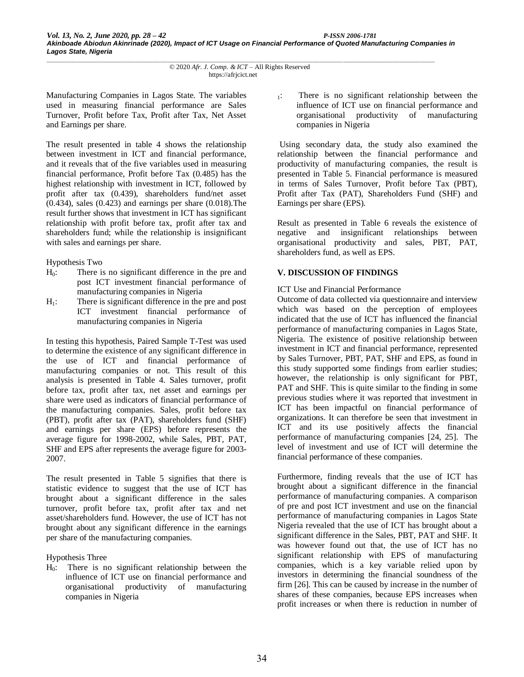Manufacturing Companies in Lagos State. The variables used in measuring financial performance are Sales Turnover, Profit before Tax, Profit after Tax, Net Asset and Earnings per share.

The result presented in table 4 shows the relationship between investment in ICT and financial performance, and it reveals that of the five variables used in measuring financial performance, Profit before Tax (0.485) has the highest relationship with investment in ICT, followed by profit after tax (0.439), shareholders fund/net asset (0.434), sales (0.423) and earnings per share (0.018).The result further shows that investment in ICT has significant relationship with profit before tax, profit after tax and shareholders fund; while the relationship is insignificant with sales and earnings per share.

## Hypothesis Two

- H<sub>0</sub>: There is no significant difference in the pre and post ICT investment financial performance of manufacturing companies in Nigeria
- $H<sub>1</sub>$ : There is significant difference in the pre and post ICT investment financial performance of manufacturing companies in Nigeria

In testing this hypothesis, Paired Sample T-Test was used to determine the existence of any significant difference in the use of ICT and financial performance of manufacturing companies or not. This result of this analysis is presented in Table 4. Sales turnover, profit before tax, profit after tax, net asset and earnings per share were used as indicators of financial performance of the manufacturing companies. Sales, profit before tax (PBT), profit after tax (PAT), shareholders fund (SHF) and earnings per share (EPS) before represents the average figure for 1998-2002, while Sales, PBT, PAT, SHF and EPS after represents the average figure for 2003- 2007.

The result presented in Table 5 signifies that there is statistic evidence to suggest that the use of ICT has brought about a significant difference in the sales turnover, profit before tax, profit after tax and net asset/shareholders fund. However, the use of ICT has not brought about any significant difference in the earnings per share of the manufacturing companies.

Hypothesis Three

H0: There is no significant relationship between the influence of ICT use on financial performance and organisational productivity of manufacturing companies in Nigeria

<sup>1</sup>: There is no significant relationship between the influence of ICT use on financial performance and organisational productivity of manufacturing companies in Nigeria

Using secondary data, the study also examined the relationship between the financial performance and productivity of manufacturing companies, the result is presented in Table 5. Financial performance is measured in terms of Sales Turnover, Profit before Tax (PBT), Profit after Tax (PAT), Shareholders Fund (SHF) and Earnings per share (EPS).

Result as presented in Table 6 reveals the existence of negative and insignificant relationships between organisational productivity and sales, PBT, PAT, shareholders fund, as well as EPS.

# **V. DISCUSSION OF FINDINGS**

## ICT Use and Financial Performance

Outcome of data collected via questionnaire and interview which was based on the perception of employees indicated that the use of ICT has influenced the financial performance of manufacturing companies in Lagos State, Nigeria. The existence of positive relationship between investment in ICT and financial performance, represented by Sales Turnover, PBT, PAT, SHF and EPS, as found in this study supported some findings from earlier studies; however, the relationship is only significant for PBT, PAT and SHF. This is quite similar to the finding in some previous studies where it was reported that investment in ICT has been impactful on financial performance of organizations. It can therefore be seen that investment in ICT and its use positively affects the financial performance of manufacturing companies [24, 25]. The level of investment and use of ICT will determine the financial performance of these companies.

Furthermore, finding reveals that the use of ICT has brought about a significant difference in the financial performance of manufacturing companies. A comparison of pre and post ICT investment and use on the financial performance of manufacturing companies in Lagos State Nigeria revealed that the use of ICT has brought about a significant difference in the Sales, PBT, PAT and SHF. It was however found out that, the use of ICT has no significant relationship with EPS of manufacturing companies, which is a key variable relied upon by investors in determining the financial soundness of the firm [26]. This can be caused by increase in the number of shares of these companies, because EPS increases when profit increases or when there is reduction in number of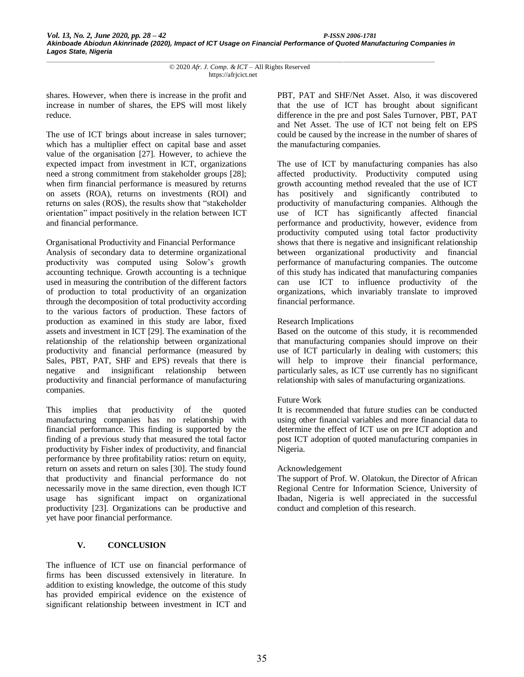shares. However, when there is increase in the profit and increase in number of shares, the EPS will most likely reduce.

The use of ICT brings about increase in sales turnover; which has a multiplier effect on capital base and asset value of the organisation [27]. However, to achieve the expected impact from investment in ICT, organizations need a strong commitment from stakeholder groups [28]; when firm financial performance is measured by returns on assets (ROA), returns on investments (ROI) and returns on sales (ROS), the results show that "stakeholder orientation" impact positively in the relation between ICT and financial performance.

# Organisational Productivity and Financial Performance

Analysis of secondary data to determine organizational productivity was computed using Solow's growth accounting technique. Growth accounting is a technique used in measuring the contribution of the different factors of production to total productivity of an organization through the decomposition of total productivity according to the various factors of production. These factors of production as examined in this study are labor, fixed assets and investment in ICT [29]. The examination of the relationship of the relationship between organizational productivity and financial performance (measured by Sales, PBT, PAT, SHF and EPS) reveals that there is negative and insignificant relationship between productivity and financial performance of manufacturing companies.

This implies that productivity of the quoted manufacturing companies has no relationship with financial performance. This finding is supported by the finding of a previous study that measured the total factor productivity by Fisher index of productivity, and financial performance by three profitability ratios: return on equity, return on assets and return on sales [30]. The study found that productivity and financial performance do not necessarily move in the same direction, even though ICT usage has significant impact on organizational productivity [23]. Organizations can be productive and yet have poor financial performance.

# **V. CONCLUSION**

The influence of ICT use on financial performance of firms has been discussed extensively in literature. In addition to existing knowledge, the outcome of this study has provided empirical evidence on the existence of significant relationship between investment in ICT and PBT, PAT and SHF/Net Asset. Also, it was discovered that the use of ICT has brought about significant difference in the pre and post Sales Turnover, PBT, PAT and Net Asset. The use of ICT not being felt on EPS could be caused by the increase in the number of shares of the manufacturing companies.

The use of ICT by manufacturing companies has also affected productivity. Productivity computed using growth accounting method revealed that the use of ICT has positively and significantly contributed to productivity of manufacturing companies. Although the use of ICT has significantly affected financial performance and productivity, however, evidence from productivity computed using total factor productivity shows that there is negative and insignificant relationship between organizational productivity and financial performance of manufacturing companies. The outcome of this study has indicated that manufacturing companies can use ICT to influence productivity of the organizations, which invariably translate to improved financial performance.

# Research Implications

Based on the outcome of this study, it is recommended that manufacturing companies should improve on their use of ICT particularly in dealing with customers; this will help to improve their financial performance, particularly sales, as ICT use currently has no significant relationship with sales of manufacturing organizations.

# Future Work

It is recommended that future studies can be conducted using other financial variables and more financial data to determine the effect of ICT use on pre ICT adoption and post ICT adoption of quoted manufacturing companies in Nigeria.

## Acknowledgement

The support of Prof. W. Olatokun, the Director of African Regional Centre for Information Science, University of Ibadan, Nigeria is well appreciated in the successful conduct and completion of this research.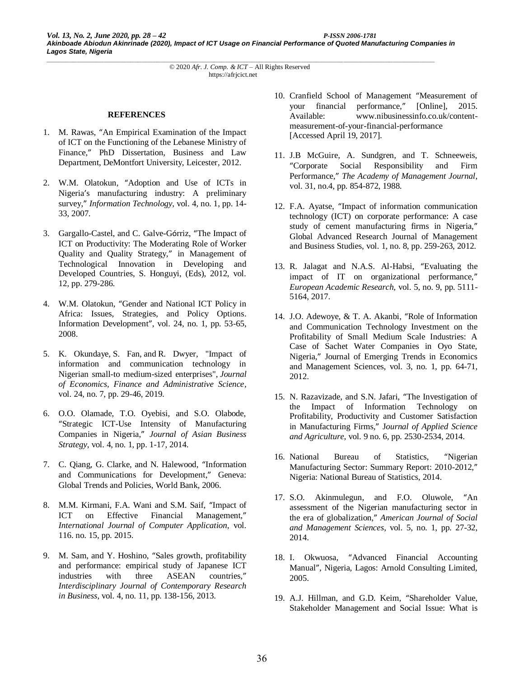#### **REFERENCES**

- 1. M. Rawas, "An Empirical Examination of the Impact of ICT on the Functioning of the Lebanese Ministry of Finance," PhD Dissertation, Business and Law Department, DeMontfort University, Leicester, 2012.
- 2. W.M. Olatokun, "Adoption and Use of ICTs in Nigeria's manufacturing industry: A preliminary survey," *Information Technology*, vol. 4, no. 1, pp. 14- 33, 2007.
- 3. Gargallo-Castel, and C. Galve-Górriz, "The Impact of ICT on Productivity: The Moderating Role of Worker Quality and Quality Strategy," in Management of Technological Innovation in Developing and Developed Countries, S. Honguyi, (Eds), 2012, vol. 12, pp. 279-286.
- 4. W.M. Olatokun, "Gender and National ICT Policy in Africa: Issues, Strategies, and Policy Options. Information Development", vol. 24, no. 1, pp. 53-65, 2008.
- 5. K. Okundaye, S. Fan, and R. Dwyer, "Impact of information and communication technology in Nigerian small-to medium-sized enterprises", *Journal of Economics, Finance and Administrative Science,* vol. 24, no. 7, pp. 29-46, 2019.
- 6. O.O. Olamade, T.O. Oyebisi, and S.O. Olabode, "Strategic ICT-Use Intensity of Manufacturing Companies in Nigeria," *Journal of Asian Business Strategy*, vol. 4, no. 1, pp. 1-17, 2014.
- 7. C. Qiang, G. Clarke, and N. Halewood, "Information and Communications for Development," Geneva: Global Trends and Policies, World Bank, 2006.
- 8. M.M. Kirmani, F.A. Wani and S.M. Saif, "Impact of ICT on Effective Financial Management," *International Journal of Computer Application,* vol. 116. no. 15, pp. 2015.
- 9. M. Sam, and Y. Hoshino, "Sales growth, profitability and performance: empirical study of Japanese ICT industries with three ASEAN countries," *Interdisciplinary Journal of Contemporary Research in Business*, vol. 4, no. 11, pp. 138-156, 2013.
- 10. Cranfield School of Management "Measurement of your financial performance," [Online], 2015. Available: www.nibusinessinfo.co.uk/contentmeasurement-of-your-financial-performance [Accessed April 19, 2017].
- 11. J.B McGuire, A. Sundgren, and T. Schneeweis, "Corporate Social Responsibility and Firm Performance," *The Academy of Management Journal*, vol. 31, no.4, pp. 854-872, 1988.
- 12. F.A. Ayatse, "Impact of information communication technology (ICT) on corporate performance: A case study of cement manufacturing firms in Nigeria," Global Advanced Research Journal of Management and Business Studies, vol. 1, no. 8, pp. 259-263, 2012.
- 13. R. Jalagat and N.A.S. Al-Habsi, "Evaluating the impact of IT on organizational performance," *European Academic Research,* vol. 5, no. 9, pp. 5111- 5164, 2017.
- 14. J.O. Adewoye, & T. A. Akanbi, "Role of Information and Communication Technology Investment on the Profitability of Small Medium Scale Industries: A Case of Sachet Water Companies in Oyo State, Nigeria," Journal of Emerging Trends in Economics and Management Sciences, vol. 3, no. 1, pp. 64-71, 2012.
- 15. N. Razavizade, and S.N. Jafari, "The Investigation of the Impact of Information Technology on Profitability, Productivity and Customer Satisfaction in Manufacturing Firms," J*ournal of Applied Science and Agriculture*, vol. 9 no. 6, pp. 2530-2534, 2014.
- 16. National Bureau of Statistics, "Nigerian Manufacturing Sector: Summary Report: 2010-2012," Nigeria: National Bureau of Statistics, 2014.
- 17. S.O. Akinmulegun, and F.O. Oluwole, "An assessment of the Nigerian manufacturing sector in the era of globalization," *American Journal of Social and Management Sciences*, vol. 5, no. 1, pp. 27-32, 2014.
- 18. I. Okwuosa, "Advanced Financial Accounting Manual", Nigeria, Lagos: Arnold Consulting Limited, 2005.
- 19. A.J. Hillman, and G.D. Keim, "Shareholder Value, Stakeholder Management and Social Issue: What is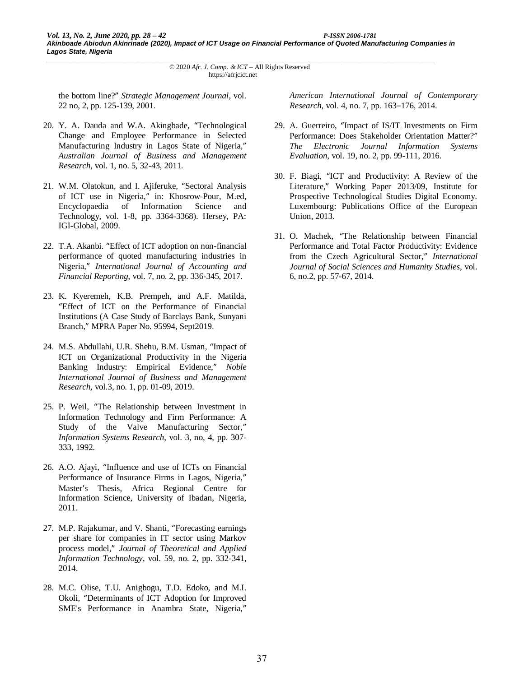the bottom line?" *Strategic Management Journal*, vol. 22 no, 2, pp. 125-139, 2001.

- 20. Y. A. Dauda and W.A. Akingbade, "Technological Change and Employee Performance in Selected Manufacturing Industry in Lagos State of Nigeria," *Australian Journal of Business and Management Research*, vol. 1, no. 5, 32-43, 2011.
- 21. W.M. Olatokun, and I. Ajiferuke, "Sectoral Analysis of ICT use in Nigeria," in: Khosrow-Pour, M.ed, Encyclopaedia of Information Technology, vol. 1-8, pp. 3364-3368). Hersey, PA: IGI-Global, 2009.
- 22. T.A. Akanbi. "Effect of ICT adoption on non-financial performance of quoted manufacturing industries in Nigeria," *International Journal of Accounting and Financial Reporting*, vol. 7, no. 2, pp. 336-345, 2017.
- 23. K. Kyeremeh, K.B. Prempeh, and A.F. Matilda, "Effect of ICT on the Performance of Financial Institutions (A Case Study of Barclays Bank, Sunyani Branch," MPRA Paper No. 95994, Sept2019.
- 24. M.S. Abdullahi, U.R. Shehu, B.M. Usman, "Impact of ICT on Organizational Productivity in the Nigeria Banking Industry: Empirical Evidence," *Noble International Journal of Business and Management Research,* vol.3, no. 1, pp. 01-09, 2019.
- 25. P. Weil, "The Relationship between Investment in Information Technology and Firm Performance: A Study of the Valve Manufacturing Sector," *Information Systems Research*, vol. 3, no, 4, pp. 307- 333, 1992.
- 26. A.O. Ajayi, "Influence and use of ICTs on Financial Performance of Insurance Firms in Lagos, Nigeria," Master's Thesis, Africa Regional Centre for Information Science, University of Ibadan, Nigeria, 2011.
- 27. M.P. Rajakumar, and V. Shanti, "Forecasting earnings per share for companies in IT sector using Markov process model," *Journal of Theoretical and Applied Information Technology*, vol. 59, no. 2, pp. 332-341, 2014.
- 28. M.C. Olise, T.U. Anigbogu, T.D. Edoko, and M.I. Okoli, "Determinants of ICT Adoption for Improved SME's Performance in Anambra State, Nigeria,"

*American International Journal of Contemporary Research*, vol. 4, no. 7, pp. 163–176, 2014.

- 29. A. Guerreiro, "Impact of IS/IT Investments on Firm Performance: Does Stakeholder Orientation Matter?" *The Electronic Journal Information Systems Evaluation*, vol. 19, no. 2, pp. 99-111, 2016.
- 30. F. Biagi, "ICT and Productivity: A Review of the Literature," Working Paper 2013/09, Institute for Prospective Technological Studies Digital Economy. Luxembourg: Publications Office of the European Union, 2013.
- 31. O. Machek, "The Relationship between Financial Performance and Total Factor Productivity: Evidence from the Czech Agricultural Sector," *International Journal of Social Sciences and Humanity Studies*, vol. 6, no.2, pp. 57-67, 2014.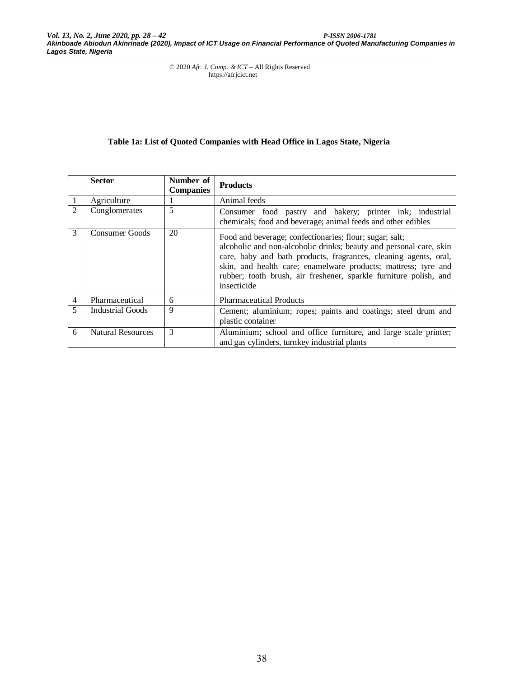# **Table 1a: List of Quoted Companies with Head Office in Lagos State, Nigeria**

|   | <b>Sector</b>            | Number of<br><b>Companies</b> | <b>Products</b>                                                                                                                                                                                                                                                                                                                                         |  |
|---|--------------------------|-------------------------------|---------------------------------------------------------------------------------------------------------------------------------------------------------------------------------------------------------------------------------------------------------------------------------------------------------------------------------------------------------|--|
|   | Agriculture              |                               | Animal feeds                                                                                                                                                                                                                                                                                                                                            |  |
| 2 | Conglomerates            | 5                             | Consumer food pastry and bakery; printer ink; industrial<br>chemicals; food and beverage; animal feeds and other edibles                                                                                                                                                                                                                                |  |
| 3 | Consumer Goods           | 20                            | Food and beverage; confectionaries; flour; sugar; salt;<br>alcoholic and non-alcoholic drinks; beauty and personal care, skin<br>care, baby and bath products, fragrances, cleaning agents, oral,<br>skin, and health care; enamelware products; mattress; tyre and<br>rubber; tooth brush, air freshener, sparkle furniture polish, and<br>insecticide |  |
| 4 | Pharmaceutical           | 6                             | <b>Pharmaceutical Products</b>                                                                                                                                                                                                                                                                                                                          |  |
| 5 | Industrial Goods         | 9                             | Cement; aluminium; ropes; paints and coatings; steel drum and<br>plastic container                                                                                                                                                                                                                                                                      |  |
| 6 | <b>Natural Resources</b> | 3                             | Aluminium; school and office furniture, and large scale printer;<br>and gas cylinders, turnkey industrial plants                                                                                                                                                                                                                                        |  |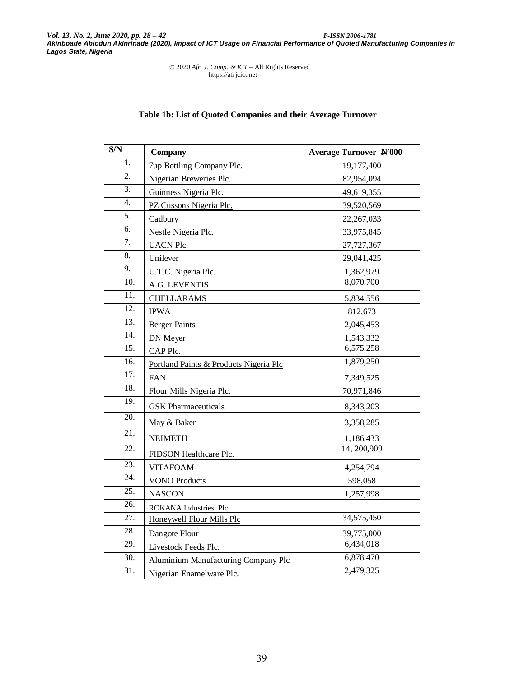# **Table 1b: List of Quoted Companies and their Average Turnover**

| S/N               | Company                                | <b>Average Turnover N'000</b> |
|-------------------|----------------------------------------|-------------------------------|
| 1.                | 7up Bottling Company Plc.              | 19,177,400                    |
| 2.                | Nigerian Breweries Plc.                | 82,954,094                    |
| $\overline{3}$ .  | Guinness Nigeria Plc.                  | 49,619,355                    |
| $\overline{4}$ .  | PZ Cussons Nigeria Plc.                | 39,520,569                    |
| $\overline{5}$ .  | Cadbury                                | 22, 267, 033                  |
| 6.                | Nestle Nigeria Plc.                    | 33,975,845                    |
| $\overline{7}$ .  | <b>UACN Plc.</b>                       | 27,727,367                    |
| 8.                | Unilever                               | 29,041,425                    |
| $\overline{9}$ .  | U.T.C. Nigeria Plc.                    | 1,362,979                     |
| $\overline{10}$ . | A.G. LEVENTIS                          | 8,070,700                     |
| $\overline{11}$ . | <b>CHELLARAMS</b>                      | 5,834,556                     |
| $\overline{12}$ . | <b>IPWA</b>                            | 812,673                       |
| $\overline{13}$ . | <b>Berger Paints</b>                   | 2,045,453                     |
| 14.               | DN Meyer                               | 1,543,332                     |
| $\overline{15}$ . | CAP Plc.                               | 6,575,258                     |
| 16.               | Portland Paints & Products Nigeria Plc | 1,879,250                     |
| 17.               | <b>FAN</b>                             | 7,349,525                     |
| 18.               | Flour Mills Nigeria Plc.               | 70,971,846                    |
| 19.               | <b>GSK</b> Pharmaceuticals             | 8,343,203                     |
| 20.               | May & Baker                            | 3,358,285                     |
| 21.               | <b>NEIMETH</b>                         | 1,186,433                     |
| 22.               | FIDSON Healthcare Plc.                 | 14, 200, 909                  |
| $\overline{23}$ . | <b>VITAFOAM</b>                        | 4,254,794                     |
| $\overline{24}$ . | <b>VONO Products</b>                   | 598,058                       |
| $\overline{25}$ . | <b>NASCON</b>                          | 1,257,998                     |
| 26.               | ROKANA Industries Plc.                 |                               |
| 27.               | Honeywell Flour Mills Plc              | 34,575,450                    |
| 28.               | Dangote Flour                          | 39,775,000                    |
| 29.               | Livestock Feeds Plc.                   | 6,434,018                     |
| 30.               | Aluminium Manufacturing Company Plc    | 6,878,470                     |
| 31.               | Nigerian Enamelware Plc.               | 2,479,325                     |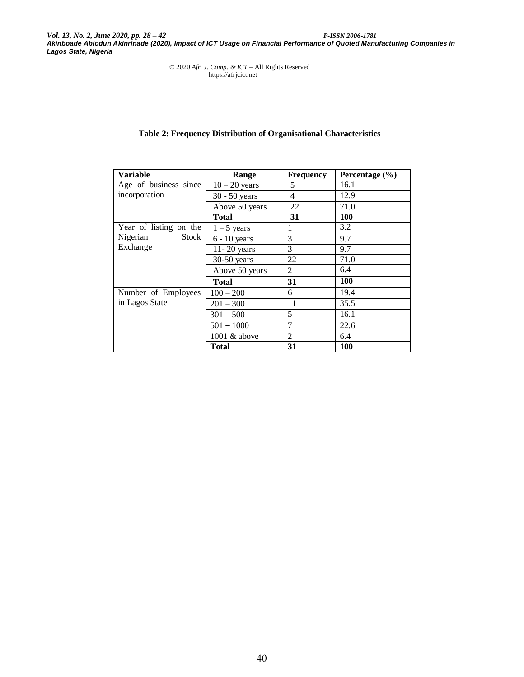*Vol. 13, No. 2, June 2020, pp. 28 – 42 P-ISSN 2006-1781 Akinboade Abiodun Akinrinade (2020), Impact of ICT Usage on Financial Performance of Quoted Manufacturing Companies in Lagos State, Nigeria*

*\_\_\_\_\_\_\_\_\_\_\_\_\_\_\_\_\_\_\_\_\_\_\_\_\_\_\_\_\_\_\_\_\_\_\_\_\_\_\_\_\_\_\_\_\_\_\_\_\_\_\_\_\_\_\_\_\_\_\_\_\_\_\_\_\_\_\_\_\_\_\_\_\_\_\_\_\_\_\_\_\_\_\_\_\_\_\_\_\_\_\_\_\_\_\_\_\_\_\_\_\_\_* © 2020 *Afr. J. Comp. & ICT* – All Rights Reserved https://afrjcict.net

# **Table 2: Frequency Distribution of Organisational Characteristics**

| <b>Variable</b>        | Range           | <b>Frequency</b> | Percentage $(\% )$ |
|------------------------|-----------------|------------------|--------------------|
| Age of business since  | $10 - 20$ years | 5                | 16.1               |
| incorporation          | $30 - 50$ years | 4                | 12.9               |
|                        | Above 50 years  | 22               | 71.0               |
|                        | <b>Total</b>    | 31               | 100                |
| Year of listing on the | $1 - 5$ years   | 1                | 3.2                |
| Stock<br>Nigerian      | $6 - 10$ years  | 3                | 9.7                |
| Exchange               | $11 - 20$ years | 3                | 9.7                |
|                        | $30-50$ years   | 22               | 71.0               |
|                        | Above 50 years  | 2                | 6.4                |
|                        | <b>Total</b>    | 31               | <b>100</b>         |
| Number of Employees    | $100 - 200$     | 6                | 19.4               |
| in Lagos State         | $201 - 300$     | 11               | 35.5               |
|                        | $301 - 500$     | 5                | 16.1               |
|                        | $501 - 1000$    | 7                | 22.6               |
|                        | 1001 & above    | 2                | 6.4                |
|                        | <b>Total</b>    | 31               | <b>100</b>         |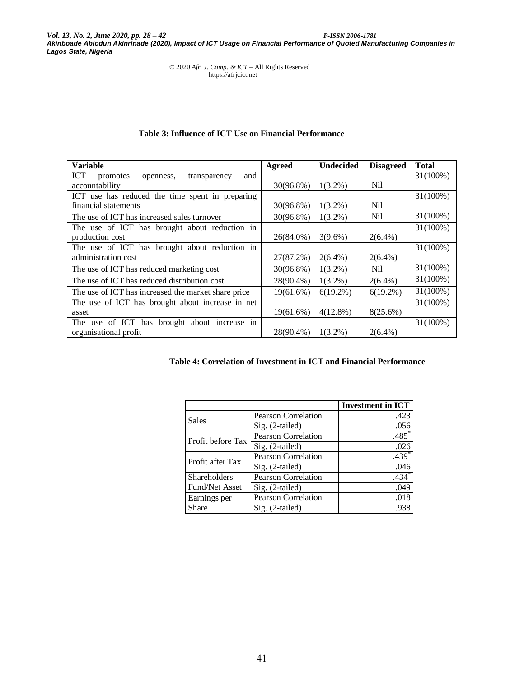#### **Variable Agreed Undecided Disagreed Total**<br> **ICT** promotes openness, transparency and promotes openness, transparency and  $a$ countability  $30(96.8\%)$  | 1(3.2%) Nil 31(100%) ICT use has reduced the time spent in preparing financial statements 30(96.8%) 1(3.2%) Nil 31(100%) The use of ICT has increased sales turnover  $30(96.8\%)$   $1(3.2\%)$  Nil 31(100%) The use of ICT has brought about reduction in production cost  $26(84.0\%)$   $3(9.6\%)$   $2(6.4\%)$ 31(100%) The use of ICT has brought about reduction in administration cost 27(87.2%) 2(6.4%) 2(6.4%) 31(100%) The use of ICT has reduced marketing cost  $30(96.8\%)$   $\begin{array}{|l} 1(3.2\%) & Nil \end{array}$  31(100%) The use of ICT has reduced distribution cost  $28(90.4\%) \begin{array}{|l} 1(3.2\%) & 2(6.4\%) \\ 1(3.2\%) & 2(6.4\%) \end{array}$  31(100%) The use of ICT has increased the market share price  $\begin{vmatrix} 19(61.6\%) & 6(19.2\%) & 6(19.2\%) & 31(100\%) \end{vmatrix}$ The use of ICT has brought about increase in net asset 19(61.6%) 4(12.8%) 8(25.6%) 31(100%) The use of ICT has brought about increase in organisational profit  $28(90.4\%) | 1(3.2\%) | 2(6.4\%)$ 31(100%)

#### **Table 3: Influence of ICT Use on Financial Performance**

# **Table 4: Correlation of Investment in ICT and Financial Performance**

|                     |                            | <b>Investment in ICT</b> |
|---------------------|----------------------------|--------------------------|
| Sales               | Pearson Correlation        | .423                     |
|                     | Sig. (2-tailed)            | .056                     |
| Profit before Tax   | <b>Pearson Correlation</b> | $.485*$                  |
|                     | Sig. (2-tailed)            | .026                     |
| Profit after Tax    | <b>Pearson Correlation</b> | $.439*$                  |
|                     | Sig. (2-tailed)            | .046                     |
| <b>Shareholders</b> | <b>Pearson Correlation</b> | $.434*$                  |
| Fund/Net Asset      | Sig. (2-tailed)            | .049                     |
| Earnings per        | <b>Pearson Correlation</b> | .018                     |
| Share               | $Sig. (2-tailed)$          | .938                     |